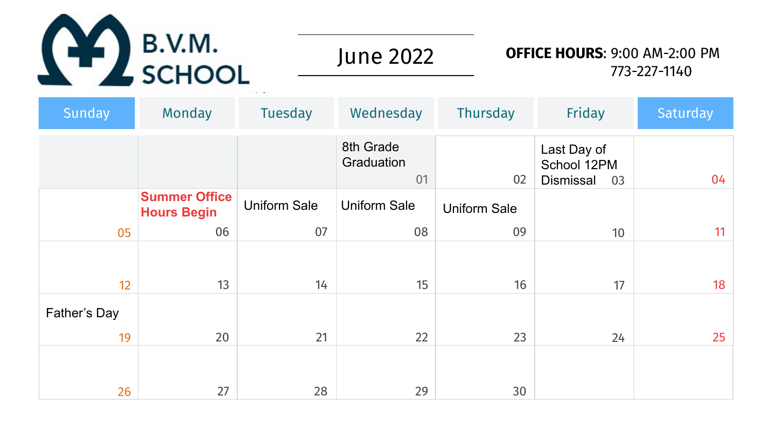

June 2022

### **OFFICE HOURS**: 9:00 AM-2:00 PM 773-227-1140

| <b>Sunday</b>      | Monday                                     | <b>Tuesday</b>      | Wednesday                     | <b>Thursday</b>     | Friday                                               | Saturday |
|--------------------|--------------------------------------------|---------------------|-------------------------------|---------------------|------------------------------------------------------|----------|
|                    |                                            |                     | 8th Grade<br>Graduation<br>01 | 02                  | Last Day of<br>School 12PM<br><b>Dismissal</b><br>03 | 04       |
|                    | <b>Summer Office</b><br><b>Hours Begin</b> | <b>Uniform Sale</b> | <b>Uniform Sale</b>           | <b>Uniform Sale</b> |                                                      |          |
| 05                 | 06                                         | 07                  | 08                            | 09                  | 10 <sup>°</sup>                                      | 11       |
| 12                 | 13                                         | 14                  | 15                            | 16                  | 17                                                   | 18       |
| Father's Day<br>19 | 20                                         | 21                  | 22                            | 23                  |                                                      | 25       |
|                    |                                            |                     |                               |                     | 24                                                   |          |
| 26                 | 27                                         | 28                  | 29                            | 30                  |                                                      |          |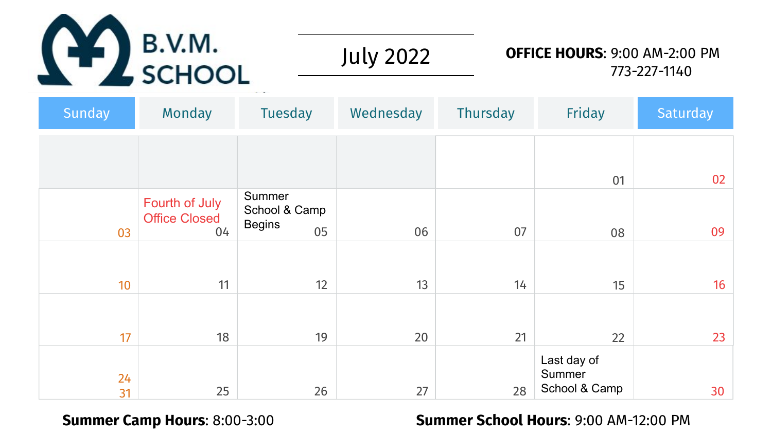

July 2022

### **OFFICE HOURS**: 9:00 AM-2:00 PM 773-227-1140

| Sunday   | <b>Monday</b>                          | Tuesday                                  | Wednesday | Thursday | Friday                                 | Saturday |
|----------|----------------------------------------|------------------------------------------|-----------|----------|----------------------------------------|----------|
|          |                                        |                                          |           |          |                                        |          |
|          |                                        |                                          |           |          | 01                                     | 02       |
|          | Fourth of July<br><b>Office Closed</b> | Summer<br>School & Camp<br><b>Begins</b> |           |          |                                        |          |
| 03       | 04                                     | 05                                       | 06        | 07       | 08                                     | 09       |
| 10       | 11                                     | 12                                       | 13        | 14       | 15                                     | 16       |
| 17       | 18                                     | 19                                       | 20        | 21       | 22                                     | 23       |
| 24<br>31 | 25                                     | 26                                       | 27        | 28       | Last day of<br>Summer<br>School & Camp | 30       |

#### **Summer Camp Hours**: 8:00-3:00 **Summer School Hours**: 9:00 AM-12:00 PM